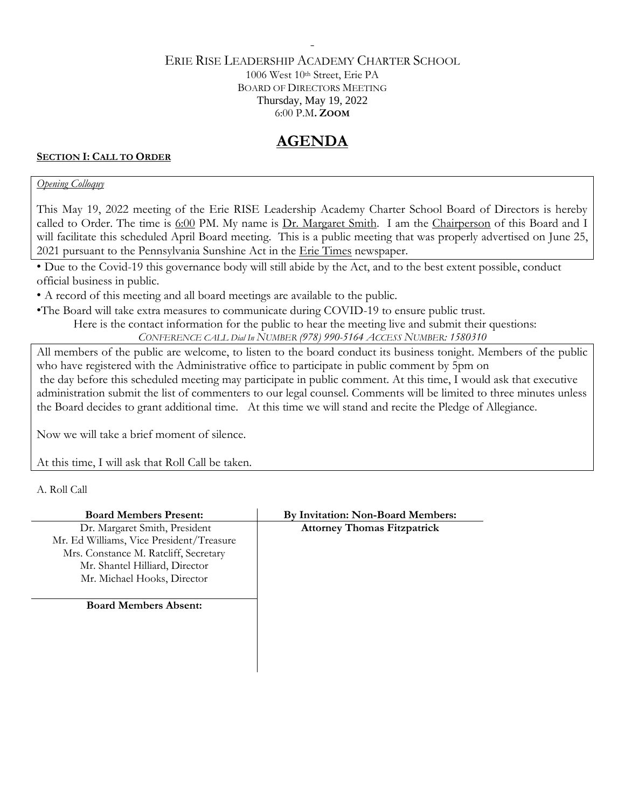## ERIE RISE LEADERSHIP ACADEMY CHARTER SCHOOL 1006 West 10th Street, Erie PA BOARD OF DIRECTORS MEETING Thursday, May 19, 2022 6:00 P.M**. ZOOM**

-

# **AGENDA**

## **SECTION I: CALL TO ORDER**

## *Opening Colloquy*

This May 19, 2022 meeting of the Erie RISE Leadership Academy Charter School Board of Directors is hereby called to Order. The time is 6:00 PM. My name is Dr. Margaret Smith. I am the Chairperson of this Board and I will facilitate this scheduled April Board meeting. This is a public meeting that was properly advertised on June 25, 2021 pursuant to the Pennsylvania Sunshine Act in the Erie Times newspaper.

• Due to the Covid-19 this governance body will still abide by the Act, and to the best extent possible, conduct official business in public.

• A record of this meeting and all board meetings are available to the public.

•The Board will take extra measures to communicate during COVID-19 to ensure public trust.

Here is the contact information for the public to hear the meeting live and submit their questions:

*CONFERENCE CALL Dial In NUMBER (978) 990-5164 ACCESS NUMBER: 1580310*

All members of the public are welcome, to listen to the board conduct its business tonight. Members of the public who have registered with the Administrative office to participate in public comment by 5pm on the day before this scheduled meeting may participate in public comment. At this time, I would ask that executive administration submit the list of commenters to our legal counsel. Comments will be limited to three minutes unless the Board decides to grant additional time. At this time we will stand and recite the Pledge of Allegiance.

Now we will take a brief moment of silence.

At this time, I will ask that Roll Call be taken.

A. Roll Call

| <b>Board Members Present:</b>            | By Invitation: Non-Board Members:  |
|------------------------------------------|------------------------------------|
| Dr. Margaret Smith, President            | <b>Attorney Thomas Fitzpatrick</b> |
| Mr. Ed Williams, Vice President/Treasure |                                    |
| Mrs. Constance M. Ratcliff, Secretary    |                                    |
| Mr. Shantel Hilliard, Director           |                                    |
| Mr. Michael Hooks, Director              |                                    |
|                                          |                                    |
| <b>Board Members Absent:</b>             |                                    |
|                                          |                                    |
|                                          |                                    |
|                                          |                                    |
|                                          |                                    |
|                                          |                                    |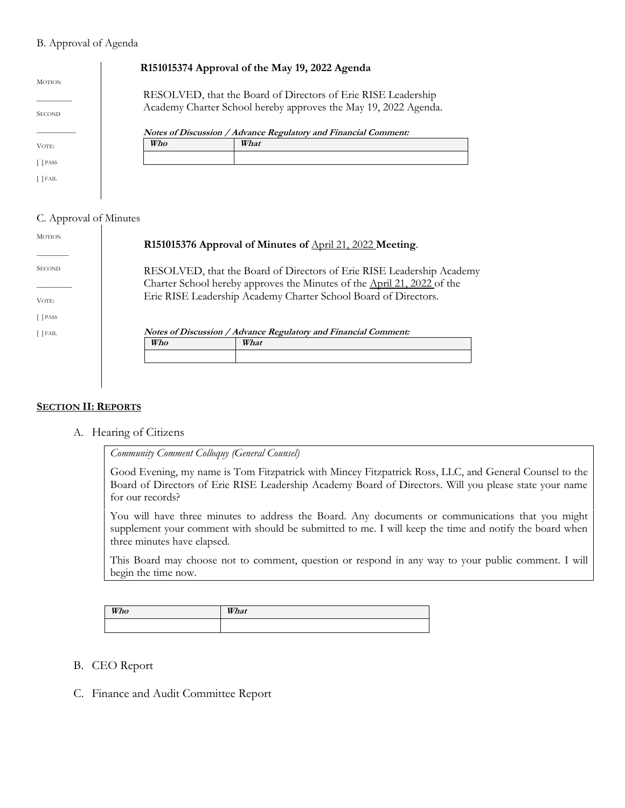#### B. Approval of Agenda

|                                |     | R151015374 Approval of the May 19, 2022 Agenda                                                                                   |
|--------------------------------|-----|----------------------------------------------------------------------------------------------------------------------------------|
| <b>MOTION</b><br><b>SECOND</b> |     | RESOLVED, that the Board of Directors of Erie RISE Leadership<br>Academy Charter School hereby approves the May 19, 2022 Agenda. |
|                                |     | Notes of Discussion / Advance Regulatory and Financial Comment:                                                                  |
| VOTE:                          | Who | What                                                                                                                             |
| <b>PASS</b>                    |     |                                                                                                                                  |
| <b>IFAIL</b>                   |     |                                                                                                                                  |

## C. Approval of Minutes

| <b>MOTION</b>     | R151015376 Approval of Minutes of April 21, 2022 Meeting.                                                                                        |  |
|-------------------|--------------------------------------------------------------------------------------------------------------------------------------------------|--|
| <b>SECOND</b>     | RESOLVED, that the Board of Directors of Erie RISE Leadership Academy<br>Charter School hereby approves the Minutes of the April 21, 2022 of the |  |
| VOTE:<br>[ ] PASS | Erie RISE Leadership Academy Charter School Board of Directors.                                                                                  |  |
| $[$ FAIL          | Notes of Discussion / Advance Regulatory and Financial Comment:                                                                                  |  |
|                   | Who<br>What                                                                                                                                      |  |
|                   |                                                                                                                                                  |  |
|                   |                                                                                                                                                  |  |

#### **SECTION II: REPORTS**

A. Hearing of Citizens

*Community Comment Colloquy (General Counsel)*

Good Evening, my name is Tom Fitzpatrick with Mincey Fitzpatrick Ross, LLC, and General Counsel to the Board of Directors of Erie RISE Leadership Academy Board of Directors. Will you please state your name for our records?

You will have three minutes to address the Board. Any documents or communications that you might supplement your comment with should be submitted to me. I will keep the time and notify the board when three minutes have elapsed.

This Board may choose not to comment, question or respond in any way to your public comment. I will begin the time now.

| Who | What |
|-----|------|
|     |      |

- B. CEO Report
- C. Finance and Audit Committee Report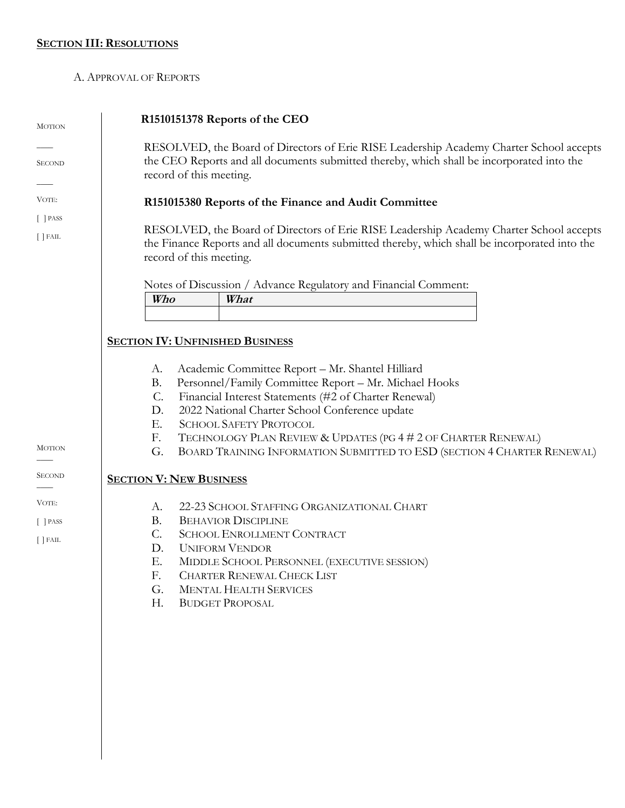## **SECTION III: RESOLUTIONS**

### A. APPROVAL OF REPORTS

| <b>MOTION</b> | R1510151378 Reports of the CEO                                                                                                                                                                                      |
|---------------|---------------------------------------------------------------------------------------------------------------------------------------------------------------------------------------------------------------------|
| <b>SECOND</b> | RESOLVED, the Board of Directors of Erie RISE Leadership Academy Charter School accepts<br>the CEO Reports and all documents submitted thereby, which shall be incorporated into the<br>record of this meeting.     |
| VOTE:         | R151015380 Reports of the Finance and Audit Committee                                                                                                                                                               |
| $[$ $]$ PASS  |                                                                                                                                                                                                                     |
| $[$ $]$ FAIL  | RESOLVED, the Board of Directors of Erie RISE Leadership Academy Charter School accepts<br>the Finance Reports and all documents submitted thereby, which shall be incorporated into the<br>record of this meeting. |
|               | Notes of Discussion / Advance Regulatory and Financial Comment:                                                                                                                                                     |
|               | Who<br>What                                                                                                                                                                                                         |
|               |                                                                                                                                                                                                                     |
|               | <b>SECTION IV: UNFINISHED BUSINESS</b>                                                                                                                                                                              |
|               |                                                                                                                                                                                                                     |
|               | Academic Committee Report - Mr. Shantel Hilliard<br>А.                                                                                                                                                              |
|               | Personnel/Family Committee Report - Mr. Michael Hooks<br>Β.<br>Financial Interest Statements (#2 of Charter Renewal)<br>$\mathcal{C}$ .                                                                             |
|               | 2022 National Charter School Conference update<br>D.                                                                                                                                                                |
|               | <b>SCHOOL SAFETY PROTOCOL</b><br>Ε.                                                                                                                                                                                 |
|               | TECHNOLOGY PLAN REVIEW & UPDATES (PG 4 # 2 OF CHARTER RENEWAL)<br>F.                                                                                                                                                |
| <b>MOTION</b> | BOARD TRAINING INFORMATION SUBMITTED TO ESD (SECTION 4 CHARTER RENEWAL)<br>G.                                                                                                                                       |
| <b>SECOND</b> | <b>SECTION V: NEW BUSINESS</b>                                                                                                                                                                                      |
| VOTE:         | 22-23 SCHOOL STAFFING ORGANIZATIONAL CHART<br>А.                                                                                                                                                                    |
| $[$ $]$ PASS  | <b>BEHAVIOR DISCIPLINE</b><br><b>B.</b>                                                                                                                                                                             |
| $[$ $]$ FAIL  | C.<br><b>SCHOOL ENROLLMENT CONTRACT</b>                                                                                                                                                                             |
|               | <b>UNIFORM VENDOR</b><br>D.                                                                                                                                                                                         |
|               | Е.<br>MIDDLE SCHOOL PERSONNEL (EXECUTIVE SESSION)                                                                                                                                                                   |
|               | <b>CHARTER RENEWAL CHECK LIST</b><br>F.                                                                                                                                                                             |
|               | G.<br><b>MENTAL HEALTH SERVICES</b>                                                                                                                                                                                 |
|               | Н.<br><b>BUDGET PROPOSAL</b>                                                                                                                                                                                        |
|               |                                                                                                                                                                                                                     |
|               |                                                                                                                                                                                                                     |
|               |                                                                                                                                                                                                                     |